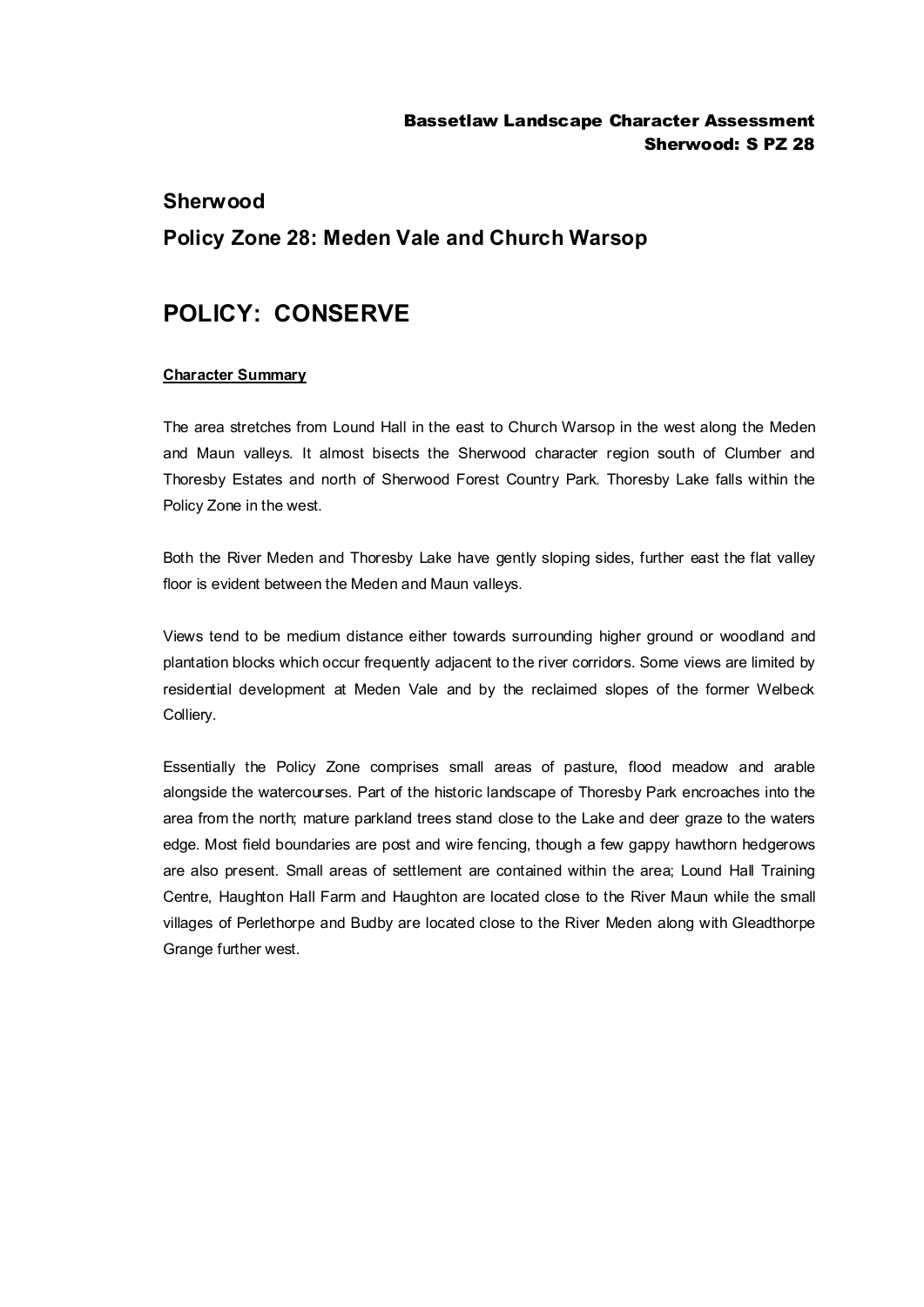## **Sherwood**

# **Policy Zone 28: Meden Vale and Church Warsop**

# **POLICY: CONSERVE**

#### **Character Summary**

The area stretches from Lound Hall in the east to Church Warsop in the west along the Meden and Maun valleys. It almost bisects the Sherwood character region south of Clumber and Thoresby Estates and north of Sherwood Forest Country Park. Thoresby Lake falls within the Policy Zone in the west.

Both the River Meden and Thoresby Lake have gently sloping sides, further east the flat valley floor is evident between the Meden and Maun valleys.

Views tend to be medium distance either towards surrounding higher ground or woodland and plantation blocks which occur frequently adjacent to the river corridors. Some views are limited by residential development at Meden Vale and by the reclaimed slopes of the former Welbeck Colliery.

Essentially the Policy Zone comprises small areas of pasture, flood meadow and arable alongside the watercourses. Part of the historic landscape of Thoresby Park encroaches into the area from the north; mature parkland trees stand close to the Lake and deer graze to the waters edge. Most field boundaries are post and wire fencing, though a few gappy hawthorn hedgerows are also present. Small areas of settlement are contained within the area; Lound Hall Training Centre, Haughton Hall Farm and Haughton are located close to the River Maun while the small villages of Perlethorpe and Budby are located close to the River Meden along with Gleadthorpe Grange further west.